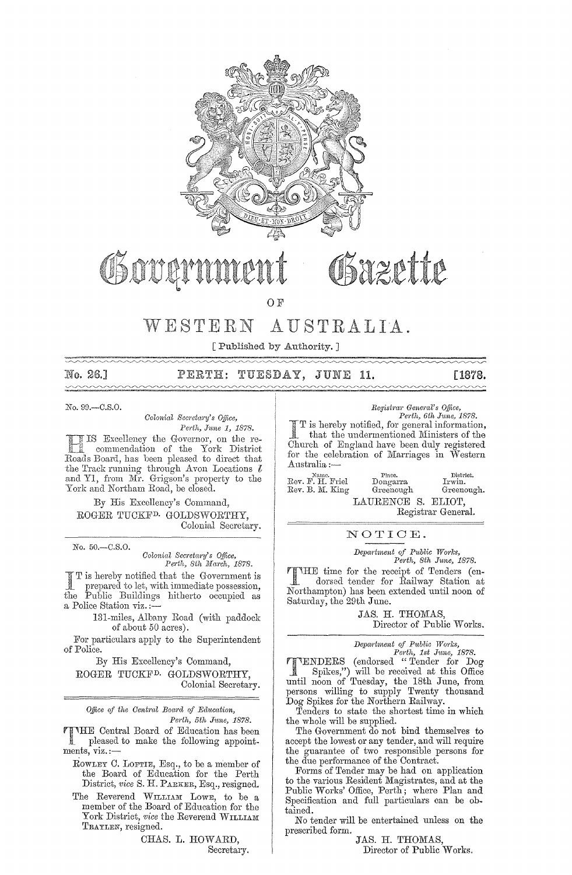

# OSazette

OF

# WESTERN AUSTRALIA.

[Published by Authority. ]

-- No. 26.]  $\begin{picture}(180,10) \put(0,0){\vector(1,0){100}} \put(10,0){\vector(1,0){100}} \put(10,0){\vector(1,0){100}} \put(10,0){\vector(1,0){100}} \put(10,0){\vector(1,0){100}} \put(10,0){\vector(1,0){100}} \put(10,0){\vector(1,0){100}} \put(10,0){\vector(1,0){100}} \put(10,0){\vector(1,0){100}} \put(10,0){\vector(1,0){100}} \put(10,0){\vector(1,0){100}}$ 

~"'-./'-.../~~~~/,-,...~~~,-/'-~,,,~/~/,-~,-/,-/~~,,--,~",,--","----~ ~ PERTH: TUESDAY, JUNE 11. [1878.

No. 99.-C.S.0.

*Colonial Secretary's Office,* Perth, June 1, 1878.

Excellency the Governor, on the re- commendation of the York District Board, has been pleased to direct that the Track running through Avon Locations *l* and Y1, from Mr. Grigson's property to the York and Northam Road, be closed.

By His Excellency's Command, ROGER TUCKFD. GOLDSWORTHY, Colonial Secretary.

No. 50.-C.S.0.

*Colonial Secretary's Office,*<br>Perth, 8th March, 1878.

I T is hereby notified that the Government is<br>prepared to let, with immediate possession,<br>the Public Buildings hitherto occupied as prepared to let, with immediate possession, Public Buildings hitherto occupied as a Police Station viz.:

131-miles, Albany Road (with paddock of about 50 acres).

For particulars apply to the Superintendent of Police.

By His Excellency's Command,

ROGER TUCKFD. GOIJDSWORTHY, Colonial Secretary.

*Office of the Central Bowrd of Education, Perth, 5th June, 1878.* 

THE Central Board of Education has been pleased to make the following appointments, viz. :-

ROWLEY C. LOFTIE, Esq., to be a member of the Board of Education for the Perth District, *vice* S. H. PARKER, Esq., resigned.

The Reverend WILLIAM LOWE, to be a member of the Board of Education for the York District, *vice* the Reverend WILLIAM TRAYLEN, resigned.

CHAS. L. HOWARD,

Secretary.

 $Registrar$  *General's Office,* 

*Perth, 6th June, 1878.*<br>
I T is hereby notified, for general information,<br>  $\frac{1}{2}$ , that the undermentioned Ministers of the Church of England have been duly registered for the celebration of Marriages in Western Australia :-

**Name. Place. District.**  Rev. F. H. Friel Dongarra Irwin. Rev. B. ]\'1. King Greenough Greenough. LAURENCE S. ELIOT,

Registrar General.

NOTIOE.

*Depa?"tment of Public W01'ks, Pej·th, 8th June, 1878.* 

THE time for the receipt of Tenders (endorsed tender for Railway Station at Northampton) has been extended until noon of Saturday, the 29th June.

> JAS. H. THOMAS, Director of Public Works.

*Depa;'t1nent of Public Wo;'ks,* 

*Perth, 1st June, 1878.*  TTENDERS (endorsed "Tender for Dog") will be received at this Office until noon of Tuesday, the 18th June, from persons willing to supply Twenty thousand Dog Spikes for the Northern Railway.

Tenders to state the shortest time in which the whole will be supplied.

The Government do not bind themselves to accept the lowest or any tender, and will require the guarantee of two responsible persons for the due performance of the Contract.

Forms of Tender may be had on application to the various Resident Magistrates, and at the Public Works' Office, Perth; where Plan and Specification and full particulars can be obtained.

No tender will be entertained unless on the prescribed form.

JAS. H. THOMAS, Director of Public Works.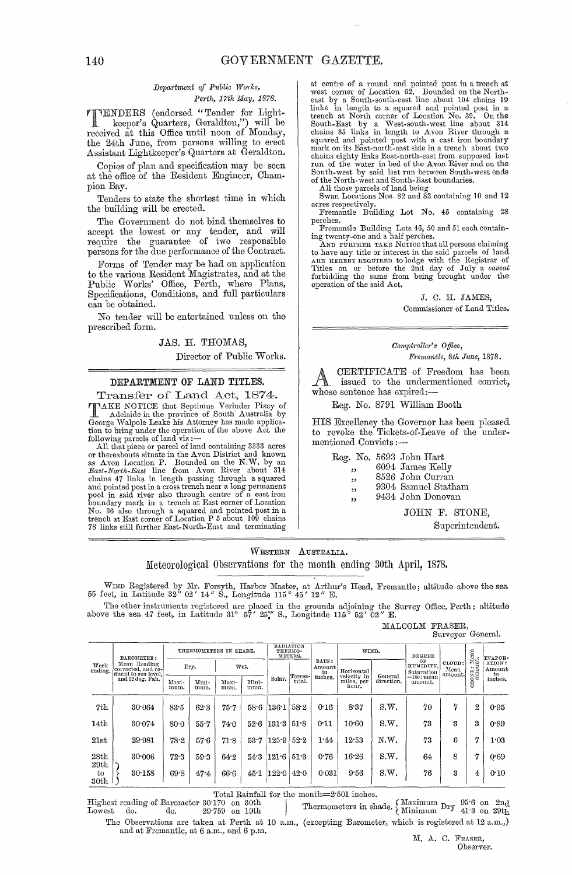# $Department of Public Works,$

*Perth, 17th May, 1878,*<br> **PENDERS** (endorsed "Tender for Light-<br> *Reener's* Overture  $C_1$ TENDERS (endorsed "Tender for Light- . keeper's Quarters, Geraldton,") will be received at this Office until noon of Monday, the 24th June, from persons willing to erect Assistant Lightkeeper's Quarters at Geraldton.

Copies of plan and specification may be seen at the office of the Resident Engineer, Champion Bay.

Tenders to state the shortest time in which the building will be erected.

The Government do not bind themselves to accept the lowest or any tender, and will require the guarantee of two responsible persons for the due performance of the Contract.

Forms of Tender may be had on application to the various Resident Magistrates, and at the Public Works' Office, Perth, where Plans, Specifications, Conditions, and full particulars can be obtained.

No tender will be entertained unless on the prescribed form.

JAS. H. THOMAS,

Director of Public Works.

# DEPARTMENT OF LAND TITLES.

Transfer of Land Act, 1874. TAKE NOTICE that Septimus Verinder Pizcy of Adelaide in the province of South Australia by George \Valpole Leake his Attorney has made applica-tion to bring under the operation of the above Act the

or thereabouts situate in the Avon District and known<br>as Avon Location P. Bounded on the N.W. by an East-North-East line from Avon River about 314 chains 47 links in length passing through a squared<br>and pointed post in a cross trench near a long permanent<br>pool in said river also through centre of a cast iron<br>boundary mark in a trench at East corner of Location<br>No. 3 at centre of a round and pointed post in a trench at<br>west corner of Location 62. Bounded on the North-<br>east by a South-south-east line about 104 chains 19<br>links in length to a squared and pointed post in a<br>trench at North Example 1983 and the Water in bed of the Avon River and on the South-west by said last run between South-west ends of the North-west and South-East boundaries.<br>All those parcels of land being<br>Swan Locations Nos. 82 and 83 containing 10 and 12

acres respectively, Fremantle Building Lot No. 45 containing 28

perches.

Fremantle Building Lots 46, 50 and 51 each contain-ing twenty-one and a half perches,

AND FURTHER TAKE NOTICE that all persons claiming<br>to have any title or interest in the said parcels of land<br>ARE HEREBY REQUIRED to lodge with the Registrar of Titles on or before the 2nd day of July a *caveat* forbidding the same from being brought under the operation of the said Act.

### J. C. H. JAMES, Commissioner of Land Titles.

## $Comptroller's$  *Office*, *Fremantle, 8th June, 1878.*

A CERTIFICATE of Freedom has been<br>issued to the undermentioned convict, whose sentence has expired:-

Reg. No. 8791 William Booth

HIS Excelleney the Governor has been pleased to revoke the Tickets-of-Leave of the undermentioned Convicts :-

Reg. No. 5693 John Hart

- 6094 James Kelly
- יי<br>" "<br>" " 8526 John Curran
- 9304 Samuel Statham
- "<br>" " 9434 John Donovan

JOHN F. STONE,

Superintendent.

WESTERN AUSTRALIA. Meteorological Observations for the month ending 30th April, 1878.

WIND Registered by Mr. Forsyth, Harbor Master, at Arthur's Head, Fremantle; altitude above the sea 55 feet, in Latitude 32° 02' 14" S., Longitude 115° 45' 12" E.

The other instruments registered are placed in the grounds adjoining the Survey Office, Perth; altitude above the sea 47 feet, in Latitude 31° 57' 25<sup>\*</sup>' S., Longitude 115° 52' 02" E.

MALCOLM FRASER, Surveyor General.

|                                                                              | BAROMETER:                                 |               | THERMOMETERS IN SHADE. |               |                       |              | RADIATION<br>THERMO-<br>METERS. |                               | WIND.                                      |                       | <b>DEGREE</b>                      |   |           | EVAPOR-                    |
|------------------------------------------------------------------------------|--------------------------------------------|---------------|------------------------|---------------|-----------------------|--------------|---------------------------------|-------------------------------|--------------------------------------------|-----------------------|------------------------------------|---|-----------|----------------------------|
| Mean Reading<br>Week<br>corrected, and re-<br>ending.<br>duced to sea level, | Dry.<br>Wet.                               |               |                        |               | RAIN:<br>Amount<br>in | Horizontal   |                                 | ΟF<br>HUMIDITY,<br>Saturation | CLOUD:<br>Mean<br>amount.                  | zoxe: Mean<br>amount. | ATION:<br>Amount                   |   |           |                            |
|                                                                              | and 32 deg. Fah.                           | Maxi-<br>mun. | Mini-<br>mum.          | Maxi-<br>mum. | Mini-<br>mum.         | Solar.       | Terres-l<br>trial.              | inches.                       | velocity in<br>miles, per<br>hour.         | General<br>direction. | $=100$ : mean<br>amount.           |   | $\circ$   | $\lim_{\text{inches.}}$    |
| 7th                                                                          | 30.064                                     | $83 - 5$      | 62.3                   | 75.7          |                       | $58.6$ 136.1 | 58.2                            | 0.16                          | 8.37                                       | S.W.                  | 70                                 | 7 | 2         | 0.95                       |
| 14 <sub>th</sub>                                                             | 30.074                                     | 80.0          | $55 - 7$               | 74.0          | 52.6                  | 131.3        | 51.8                            | 0:11                          | 10.60                                      | S.W.                  | 73                                 | 3 | 3         | 0.89                       |
| 21st                                                                         | 29.981                                     | 78.2          | 57.6                   | 71.8          | 53.7                  | 125.9        | 52.2                            | 1.44                          | 12.53                                      | N.W.                  | 73                                 | 6 | 7         | 1.03                       |
| 28th                                                                         | 30:006                                     | 72.3          | 59.3                   | 64.2          | 54.3                  | 121.6        | 51.3                            | 0.76                          | 16.26                                      | S.W.                  | 64                                 | 8 | 7         | 0.69                       |
| 29th<br>to<br>30th                                                           | 30.158                                     | 69.8          | 47.4                   | 66.6          |                       | $45.1$ 122.0 | 42.0                            | 0.031                         | 9.56                                       | S.W.                  | 76                                 | 3 | 4         | 0:10                       |
|                                                                              |                                            |               |                        |               |                       |              |                                 |                               | Total Rainfall for the month=2.501 inches. |                       |                                    |   |           |                            |
| $_{\rm Lowest}$                                                              | Highest reading of Barometer 30.170<br>do. | do.           | 29.759                 |               | on 30th<br>on 19th    |              |                                 |                               | Thermometers in shade.                     |                       | . Maximum $_{\rm{Dry}}$<br>Minimum |   | $95.6$ on | $2n_d$<br>$41.3$ on $29th$ |

The Observations are taken at Perth at 10 a.m., (excepting Barometer, which is registered at 12 a,m,,) and at Fremantle, at 6 a.m., and 6 p.m.  $M$ ,  $A$ , C. Fraser,

Observer.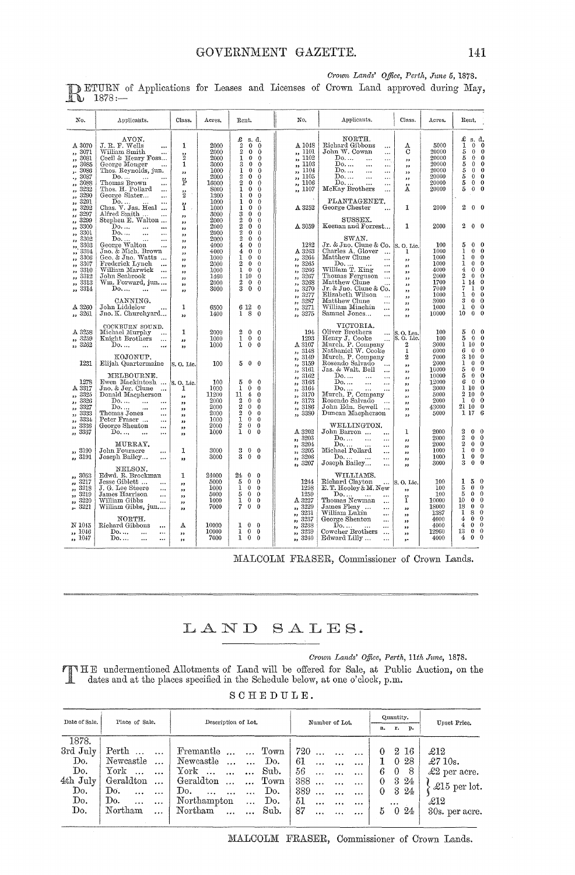### Class. No. Applicants. Class.  $\mathbf{N}$ o Applicants. Acres Rent. Acres. Rent.  $\begin{tabular}{l|c|c} & AVON. & \multicolumn{2}{c}{M.~\!\!\!R.~\!\!\!T.~\!\!\!W.~\!\!\!W.~\!\!\!W.~\!\!\!W.~\!\!\!W.~\!\!\!W.~\!\!\!W.~\!\!\!W.~\!\!\!W.~\!\!\!W.~\!\!\!W.~\!\!\!W.~\!\!\!W.~\!\!\!W.~\!\!\!W.~\!\!\!W.~\!\!\!W.~\!\!\!W.~\!\!\!W.~\!\!\!W.~\!\!\!W.~\!\!\!W.~\!\!\!W.~\!\!\!W.~\!\!\!W.~\$ **NORTH** A 1048<br>
,, 1101<br>
,, 1102<br>
,, 1103<br>
,, 1105<br>
,, 1106<br>
,, 1107<br>
,, 1107 £1555555  $\begin{array}{c} 2000 \\ 2000 \\ 2000 \\ 3000 \\ 1000 \\ 2000 \\ \end{array}$ Richard Gibbons<br>John W. Cowan A 3070  $\mathbf{1}$ 5000  $_{\rm C}^{\rm A}$ Eichard G:<br>
John W. C<br>
Do....<br>
Do....<br>
Do....<br>
Do....<br>
Do....  $\frac{5000}{20000}$ <br> $\frac{20000}{20000}$ <br> $\frac{20000}{20000}$  $\begin{smallmatrix} 1& 9& 3081& 3086& 3087& 3086& 3086& 3086& 3086& 3086& 3086& 3086& 3086& 3086& 3086& 3086& 30820& 3299& 3299& 3299& 3299& 3299& 3299& 3299& 3299& 3299& 3299& 3299& 3299& 3299& 3299& 3299& 3299& 3299& 3299& 3299& 32$  $\vdots$  $\begin{smallmatrix} 2\\2\\1 \end{smallmatrix}$  $\ldots$  $\ddotsc$  $\begin{array}{c} \ldots \\ \ldots \\ \ldots \end{array}$  $\frac{1}{10}$ ,, Ë 16000 20000  $\frac{8000}{1300}$ <br> $\frac{1300}{1000}$ <br> $\frac{3000}{2000}$ <br> $\frac{2000}{2000}$  ${\rm\textsc{McKay}}$  Brothers  $\rm \stackrel{\prime\prime}{A}$  $\frac{7}{1107}$ 20000  $\overleftrightarrow{2}$  $\begin{minipage}{.4\linewidth} \textbf{PLANTAGENTER} \textbf{,} \\\textbf{George Chester} \end{minipage}$ ï  $2\quad 0\quad 0$ A 3252  $\mathbf{I}$ 2000  $\ddotsc$ ,,,,,,,,,,,,,,,,,, SUSSEX. Keenan and Forrest...  $\mathbf{1}$ 2000  $2\quad 0\quad 0$ A 3059  $\frac{2000}{2000}$ <br> $\frac{4000}{4000}$ <br> $\frac{4000}{2000}$ SWAN,<br>Jr. & Jno. Clune & Co.<br>Charles A. Glover ...<br>Matthew Clune ...  $\begin{array}{c} 100 \\ 1000 \\ 1000 \\ 1000 \end{array}$  $\begin{array}{c} 5 & 0 \\ 1 & 0 \\ 1 & 0 \\ 4 & 0 \\ 2 & 1 \\ 1 \\ 7 & 1 \\ 3 & 0 \\ 10 & 0 \\ 10 & 0 \\ \end{array}$ 1989  $S. O.$ Lic 00000000000  $\begin{smallmatrix} &1282\ \textbf{A} & 3263\ \textbf{B} & 3264\ \textbf{C} & 3265\ \textbf{D} & 3266\ \textbf{D} & 3266\ \textbf{D} & 3267\ \end{smallmatrix}$ Mathew Clune<br>
IDo.....<br>
William T. King<br>
Thomas Ferguson<br>
Matthew Clune & Co.<br>
Jr. & Jno. Clune & Co.<br>
Elizabeth Wilson<br>
Matthew Clune<br>
William Minchin<br>
William Minchin<br>
William Minchin<br>
William Minchin<br>
William Minchin<br>
W ,,,,,,,,,,,,,,  $\frac{1000}{1460}$ <br> $\frac{2000}{2000}$ 3266<br>3267 4000<br>2000 John Seabrook<br>Wm. Forward, jun....<br>Do.... ... ... ,,  $3268$ <br> $3270$ <br> $3277$ <br> $3287$ <br> $3287$ <br> $3271$  $\begin{array}{c} 2000 \ 1700 \ 7040 \ 1000 \ 3000 \ 1000 \ 10000 \end{array}$  $\frac{3313}{100}$  $\frac{1}{2}$   $\frac{1}{0}$ <br>3 0 ,, CANNING.<br>John Liddelow ...<br>Jno. K. Churchyard...  $\mathbf{1}$  $\begin{smallmatrix} 6 & 12 \\ 1 & 8 \end{smallmatrix}$ A 3260 Ē 6500<br>1400  $\begin{smallmatrix}0\\0\end{smallmatrix}$ ,, 3261 3275 Samuel Jones... ,,  $\begin{array}{ll} \text{VICTORIA.}\\ \text{Olier Brothers} & \dots \\ \text{Herry J. Cooke} & \dots \\ \text{Murn. P. Complex} \\ \text{National W. Cooke} & \dots \\ \text{Murch. P. Complex} \\ \text{Murch. P. Company} \\ \text{Murch. P. Company} \\ \text{Do.} & \dots & \dots \\ \text{Do.} & \dots & \dots \\ \text{Do.} & \dots & \dots \\ \text{Do.} & \dots & \dots \\ \text{No.} & \dots & \dots \\ \text{No.} & \dots & \dots \\ \text{No.} & \dots & \dots \\ \text{No.} & \dots & \dots \\ \text{No.} & \dots & \dots \\ \text{$ COCKBURN SOUND.<br>Michael Murphy ...<br>Knight Brothers ...<br>Do.... ... ... VICTORIA.  $\begin{array}{c} 194 \\ \text{1293} \\ \text{A} \ 3107 \\ \text{3148} \\ \text{9} \ 3169 \\ \text{13162} \\ \text{13163} \\ \text{13163} \\ \text{13164} \\ \text{13164} \\ \text{13170} \end{array}$ A 3258<br> $\frac{3259}{123259}$  $\begin{smallmatrix} 2 & 0 \\ 1 & 0 \\ 1 & 0 \end{smallmatrix}$  $\begin{array}{c} 2000 \\ 1000 \\ 1000 \end{array}$  $\frac{100}{100}$ <br> $\frac{3000}{6000}$  $\begin{array}{c} 5 & 0 \\ 5 & 1 \\ 0 & 6 \\ 6 & 3 \\ 1 & 0 \\ 5 & 5 \\ 6 & 0 \\ 1 & 10 \\ 2 & 1 \\ 1 & 0 \\ 1 & 1 \\ 1 & 1 \\ 1 \end{array}$  $\mathbf{1}$  $\begin{smallmatrix}0\0\0\0\end{smallmatrix}$ S. O. Lea<br>S. O. Lie<br>2  $000000000000000$  $\ddotsc$  $\ddotsc$ ,,<br>,,  $\ddot{\phantom{0}}$  $\frac{1}{2}$ KOJONUP. 7000<br>2000 Elijah Quartermaine 1231 100  $500$ S.O. Lic ,,  $\frac{10000}{10000}$ <br> $\frac{10000}{3000}$ <br> $\frac{5000}{2000}$ MELBOURNE.<br>
Ewen Mackintosh<br>
Jno. & Jer. Clune<br>
Donald Macpherson<br>
Donald Macpherson ,,  $\begin{array}{c} 100 \\ 1000 \\ 11200 \\ 2000 \\ 2000 \end{array}$  $\begin{array}{c} 1278 \\ \text{A}\ 3317 \end{array}$  $\begin{smallmatrix}5\\1\\1\\2\\2\\2\end{smallmatrix}$  $\begin{array}{c} 5 & 0 \\ 1 & 0 \\ 11 & 2 \\ 2 & 0 \\ 2 & 0 \\ 1 & 0 \\ 2 & 0 \\ 1 & 0 \\ \end{array}$ , 3163<br>, 3164<br>, 3170<br>, 3173<br>, 3186  $|8.0, \text{Lie}$ 00000000 ,,,,,,,,,,,  $\mathbb{D}^0$ ...  $\begin{array}{c} \text{Do...} \qquad \ldots \qquad \ldots \qquad \text{Do...} \qquad \ldots \qquad \ldots \qquad \text{Thomas Jones} \qquad \text{Peter Fraser} \qquad \ldots \qquad \text{George Shenton} \qquad \text{Do...} \qquad \ldots \qquad \ldots \qquad \ldots \qquad \ldots \qquad \ldots \qquad \ldots \qquad \ldots \qquad \ldots \qquad \ldots \qquad \ldots \qquad \ldots \qquad \ldots \qquad \ldots \qquad \ldots \qquad \ldots \qquad \ldots \qquad \ldots \qquad \ldots \qquad \ldots \qquad \ldots \qquad \ldots \q$  $\ddot{\cdot}$ 43000  $\ddot{\phantom{0}}$ ,, 2000<br>2000<br>2000<br>2000 ,, 3380 5000  $\ddot{\phantom{0}}$  $\ddotsc$ WELLINGTON.<br>John Barron ...<br>Do... ...  $\ddotsc$  $A$  3202  $\mathbf 1$ 2000  $\begin{smallmatrix} 2 & 2 & 2 \\ 2 & 2 & 1 \\ 1 & 3 & 5 \end{smallmatrix}$  $\ddotsc$  $\ddotsc$  $\frac{3203}{1,}$ <br> $\frac{3204}{3205}$ <br> $\frac{3205}{1,}$  $\frac{2000}{2000}$  $\ddot{\cdot}$ ,,<br>,, MURRAY.  $\begin{minipage}{.4\linewidth} \textbf{Michael Pollard} \end{minipage}$ ,, 3190 John Fouracre<br>Joseph Bailey...  $\mathbf{1}$ 3000  $\begin{smallmatrix} 3 & 0 \\ 3 & 0 \end{smallmatrix}$  $\begin{smallmatrix}0\0\0\end{smallmatrix}$  $\ddotsc$ ,,<br>,,<br>,, 3000  $\overline{D}$  $1000$  $\ddotsc$ 55 ,, ... Joseph Bailey...  $, \frac{3207}{ }$ 3000 NELSON.<br>Edwd. R. Brockman<br>Jesse Giblett ...<br>J. G. Lee Steere<br>James Harrison  $\ddotsc$ ,, 3053<br>,, 3217<br>,, 3218<br>,, 3220<br>,, 3221  $\mathbf 1$ 24000  $24$  $\circ\circ\circ\circ$ WILLIAMS.  $\begin{array}{c} 1244 \\ 1258 \\ 1259 \end{array}$ Richard Clayton<br>E. T. Hooley & M. New  $\begin{array}{c} 100 \\ 100 \\ 100 \end{array}$  $5000000000000000000000$  $\frac{5000}{1000}$ O. Lic  $\frac{1}{5} \frac{5}{10} \frac{1}{18} \frac{1}{4} \frac{4}{13} \frac{4}{4}$ 515<br>15<br>17 ,,<br>,,  $\dddot{z}$ E. T. Hooley & M. N.<br>Thomas Newman<br>Joannes Fleay<br>James Fleay<br>William Lukin<br>George Shenton<br>Cowcher Brothers<br>Edward Lilly ...<br>Edward Lilly ... ,, 5000 ,,<br>,,<br>,,  $\begin{smallmatrix} 1259 \ \textbf{A} & 3227 \ \textbf{B} & 3229 \ \textbf{B} & 3231 \ \textbf{C} & 3237 \ \textbf{D} & 3238 \ \textbf{D} & 3239 \ \textbf{D} & 3239 \ \textbf{D} & 3239 \ \textbf{D} & 3239 \ \textbf{D} & 3239 \ \textbf{D} & 3239 \ \textbf{D} & 3239 \ \textbf{D} & 3239 \ \textbf{D} & 3239 \ \textbf{D} & 3239 \ \textbf{D} & 3239 \$ ï  $10000$ <br> $18000$ <br> $1387$ <br> $4000$ <br> $4000$ William Gibbs<br>William Gibbs, jun....  $1000$  $\ddotsc$ 7000  $\ddotsc$  $\dddot{...}$ NORTH.  $\overline{\rm N}$ 1045 Richard Gibbons  $\begin{array}{ccc} 1&0\\ 1&0\\ 1&0 \end{array}$  $\mathbf A$ 10000  $\begin{smallmatrix}0\0\0\0\end{smallmatrix}$  $\ddot{\phantom{0}}$  $\frac{1046}{1047}$ 12960  $\mathbb{D}^0$ ...  $\ddot{ }$ 10000<br>7000 3239 ,,<br>,, 33<br>33

Crown Lands' Office, Perth, June 5, 1878.

ETURN of Applications for Leases and Licenses of Crown Land approved during May, R  $1878:$ 

MALCOLM FRASER, Commissioner of Crown Lands.

3240

### SALES. LAND

Crown Lands' Office, Perth, 11th June, 1878.

4000

THE undermentioned Allotments of Land will be offered for Sale, at Public Auction, on the dates and at the places specified in the Schedule below, at one o'clock, p.m.

| SCHEDULE. |  |
|-----------|--|
|-----------|--|

| Date of Sale. | Place of Sale.               | Description of Lot.                        | Number of Lot.                 | Quantity.            | Upset Price.         |
|---------------|------------------------------|--------------------------------------------|--------------------------------|----------------------|----------------------|
|               |                              |                                            |                                | r. p.<br>a.          |                      |
| 1878.         |                              |                                            |                                |                      |                      |
| 3rd July      | Perth<br>$\ddotsc$           | Fremantle<br>Town<br>$\dddot{\phantom{0}}$ | 720                            | 2 16<br>$\theta$     | $\pounds12$          |
| Do.           | Newcastle                    | Newcastle<br>Do.<br>$\ddotsc$<br>$\ddotsc$ | 61<br>$\cdots$                 | -28<br>$\theta$<br>L | $\pounds$ 710s.      |
| Do.           | ${\rm York}$                 | York<br>Sub.<br>$\cdots$                   | 56<br>$\ddotsc$                | 8<br>6<br>$\theta$   | $\pounds2$ per acre. |
| 4th July      | Geraldton<br>$\ddotsc$       | Geraldton<br>Town<br>$\dddotsc$            | 388                            | 3 24<br>$\theta$     |                      |
| Do.           | Do.<br>$\ddotsc$<br>$\cdots$ | Do.<br>Do.<br>$\ddotsc$                    | 389<br>$\cdots$                | 3 24<br>$\theta$     | £15 per lot.         |
| Do.           | Do.<br>$\cdots$<br>$\cdots$  | Northampton<br>Do.<br>$\cdots$             | 51<br>$\cdots$<br>$\cdots$<br> | $\cdots$             | $\pounds12$          |
| Do.           | Northam<br>$\cdots$          | Northam<br>Sub.                            | 87<br>$\cdots$                 | 24<br>$\Omega$<br>5  | 30s. per acre.       |
|               |                              |                                            |                                |                      |                      |

MALCOLM FRASER, Commissioner of Crown Lands.